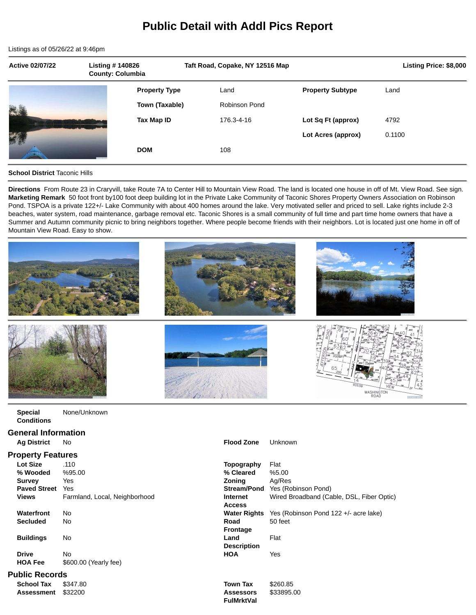# **Public Detail with Addl Pics Report**

Listings as of 05/26/22 at 9:46pm

| <b>Active 02/07/22</b> | <b>Listing #140826</b><br><b>County: Columbia</b> |                      | Taft Road, Copake, NY 12516 Map |                         |        | Listing Price: \$8,000 |
|------------------------|---------------------------------------------------|----------------------|---------------------------------|-------------------------|--------|------------------------|
|                        |                                                   | <b>Property Type</b> | Land                            | <b>Property Subtype</b> | Land   |                        |
| E.                     |                                                   | Town (Taxable)       | <b>Robinson Pond</b>            |                         |        |                        |
|                        |                                                   | Tax Map ID           | 176.3-4-16                      | Lot Sq Ft (approx)      | 4792   |                        |
| 新                      |                                                   |                      |                                 | Lot Acres (approx)      | 0.1100 |                        |
|                        |                                                   | <b>DOM</b>           | 108                             |                         |        |                        |

# **School District** Taconic Hills

**Directions** From Route 23 in Craryvill, take Route 7A to Center Hill to Mountain View Road. The land is located one house in off of Mt. View Road. See sign. **Marketing Remark** 50 foot front by100 foot deep building lot in the Private Lake Community of Taconic Shores Property Owners Association on Robinson Pond. TSPOA is a private 122+/- Lake Community with about 400 homes around the lake. Very motivated seller and priced to sell. Lake rights include 2-3 beaches, water system, road maintenance, garbage removal etc. Taconic Shores is a small community of full time and part time home owners that have a Summer and Autumn community picnic to bring neighbors together. Where people become friends with their neighbors. Lot is located just one home in off of Mountain View Road. Easy to show.



**FulMrktVal**

| <b>Special</b>    | No |
|-------------------|----|
| <b>Conditions</b> |    |

#### **General Information**

| <b>Ag District</b> No | <b>Flood Zone</b> Unknown |  |
|-----------------------|---------------------------|--|
|                       |                           |  |

## **Property Features**

| .                   |                               |                     |                     |
|---------------------|-------------------------------|---------------------|---------------------|
| <b>Lot Size</b>     | .110                          | Topography          | Flat                |
| % Wooded            | %95.00                        | % Cleared           | %5.00               |
| <b>Survey</b>       | Yes                           | Zonina              | Aa/Res              |
| <b>Paved Street</b> | Yes                           | <b>Stream/Pond</b>  | Yes (Robinson Pond) |
| <b>Views</b>        | Farmland, Local, Neighborhood | <b>Internet</b>     | Wired Broadband (Ca |
|                     |                               | <b>Access</b>       |                     |
| Waterfront          | No                            | <b>Water Rights</b> | Yes (Robinson Pond  |
| <b>Secluded</b>     | No                            | Road                | 50 feet             |
|                     |                               | <b>Frontage</b>     |                     |
| <b>Buildings</b>    | No                            | Land                | Flat                |
|                     |                               | <b>Description</b>  |                     |
| <b>Drive</b>        | No                            | <b>HOA</b>          | Yes                 |
| <b>HOA Fee</b>      | \$600.00 (Yearly fee)         |                     |                     |
|                     |                               |                     |                     |

### **Public Records**

| <b>School Tax</b> | \$347.80 |
|-------------------|----------|
| <b>Assessment</b> | \$32200  |

| UPVITY I VULUIVU    |                               |                     |                                           |
|---------------------|-------------------------------|---------------------|-------------------------------------------|
| Lot Size            | .110                          | Topography          | Flat                                      |
| % Wooded            | %95.00                        | % Cleared           | %5.00                                     |
| Survey              | Yes                           | <b>Zoning</b>       | Ag/Res                                    |
| <b>Paved Street</b> | Yes                           | <b>Stream/Pond</b>  | Yes (Robinson Pond)                       |
| Views               | Farmland, Local, Neighborhood | Internet            | Wired Broadband (Cable, DSL, Fiber Optic) |
|                     |                               | <b>Access</b>       |                                           |
| Waterfront          | No                            | <b>Water Rights</b> | Yes (Robinson Pond 122 +/- acre lake)     |
| Secluded            | No                            | Road                | 50 feet                                   |
|                     |                               | <b>Frontage</b>     |                                           |
| <b>Buildings</b>    | No                            | Land                | Flat                                      |
|                     |                               | <b>Description</b>  |                                           |
| <b>Drive</b>        | No                            | <b>HOA</b>          | Yes                                       |
| <b>HOA Fee</b>      | \$600.00 (Yearly fee)         |                     |                                           |
| ıblic Records       |                               |                     |                                           |
| School Tax          | \$347.80                      | <b>Town Tax</b>     | \$260.85                                  |
| Assessment          | \$32200                       | <b>Assessors</b>    | \$33895.00                                |